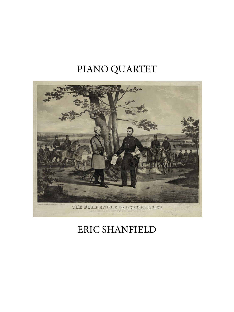# PIANO QUARTET



## ERIC SHANFIELD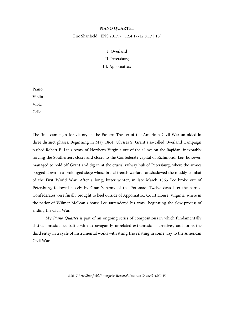### **PIANO QUARTET**

### Eric Shanfield | ENS.2017.7 | 12.4.17-12.8.17 | 13'

I. Overland II. Petersburg

III. Appomattox

Piano

Violin

Viola

Cello

The final campaign for victory in the Eastern Theater of the American Civil War unfolded in three distinct phases. Beginning in May 1864, Ulysses S. Grant's so-called Overland Campaign pushed Robert E. Lee's Army of Northern Virginia out of their lines on the Rapidan, inexorably forcing the Southerners closer and closer to the Confederate capital of Richmond. Lee, however, managed to hold off Grant and dig in at the crucial railway hub of Petersburg, where the armies bogged down in a prolonged siege whose brutal trench warfare foreshadowed the muddy combat of the First World War. After a long, bitter winter, in late March 1865 Lee broke out of Petersburg, followed closely by Grant's Army of the Potomac. Twelve days later the harried Confederates were finally brought to heel outside of Appomattox Court House, Virginia, where in the parlor of Wilmer McLean's house Lee surrendered his army, beginning the slow process of ending the Civil War.

My *Piano Quartet* is part of an ongoing series of compositions in which fundamentally abstract music does battle with extravagantly unrelated extramusical narratives, and forms the third entry in a cycle of instrumental works with string trio relating in some way to the American Civil War.

*©2017 Eric Shanfield (Enterprise Research Institute Council, ASCAP)*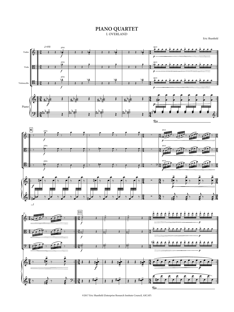q**=132**

pizz.

Violin  $\begin{array}{|c|c|c|c|c|}\n\hline\n\end{array}$   $\begin{array}{c|c|c|c|c}\n\hline\n\text{violin} & \text{G} & \text{G} & \text{H} & \text{H} & \text{H} & \text{H} \\
\hline\n\end{array}$  $\frac{13}{2}$ <u>(5</u>  $\begin{array}{c|c}\n\bullet & \text{puzz.} \\
\hline\n\bullet & \uparrow\n\end{array}$  $\begin{array}{|c|c|c|c|c|}\n\hline\n\text{BB} & \text{p} & \text{p} & \text{p} \\
\hline\n\end{array}$  $\frac{1}{2}$ <u>r", FFF</u> ¢  $\frac{1}{2}$  $\frac{3}{k}$ ™  $\frac{3}{2}$ ™  $\frac{3}{2}$ ™  $\frac{3}{4}$   $\frac{1}{2}$   $\frac{3}{2}$ <del>.3∦∗</del> .3#∗<br>'4 ™ ™ ™ ™ ™ ™ ™ ™ ™ ™ Viola  $\begin{array}{|c|c|c|c|c|c|}\n\hline\n\mathbf{Q} & \mathbf{Q} & \mathbf{Q} & \mathbf{Q} & \mathbf{Q} & \mathbf{Q} & \mathbf{Q} & \mathbf{Q} & \mathbf{Q} & \mathbf{Q} & \mathbf{Q} & \mathbf{Q} & \mathbf{Q} & \mathbf{Q} & \mathbf{Q} & \mathbf{Q} & \mathbf{Q} & \mathbf{Q} & \mathbf{Q} & \mathbf{Q} & \mathbf{Q} & \mathbf{Q} & \mathbf{Q} & \mathbf{Q} & \mathbf{Q} & \mathbf{Q} & \mathbf{Q} & \$ Violoncello Piano f p  $\begin{array}{ccc} f & | & | & | \end{array}$  $\frac{p}{p}$ f  $p \rightarrow p$ °  $\frac{1}{\sqrt{2}}$ ™  $\frac{1}{\sqrt{2}}$ ™  $\frac{1}{\sqrt{2}}$  $\frac{1}{\sqrt{2}}$ ™ ™ ™ ™ f p **6** pizz. f and the point of  $\mathbb{P}$  point  $\mathbb{P}$  is the point of  $\mathbb{P}$  in  $\mathbb{P}$  is the point of  $\mathbb{P}$ f  $\overline{p}$ f p ™ ™  $\frac{3}{4}$   $\frac{3}{4}$   $\frac{3}{4}$  $\frac{1}{4}$  $\frac{3}{4}$   $\frac{3}{4}$ ‼∺ ™ ™ ™  $\frac{3}{2}$  $\frac{3}{4}$ ™ ™ ™ ™ ™ ™ ™ ™ ™ ™ f  $\qquad \qquad$   $\qquad \qquad$   $\qquad \qquad$   $\qquad \qquad$   $\qquad \qquad$   $\qquad \qquad$   $\qquad \qquad$   $\qquad \qquad$   $\qquad \qquad$   $\qquad \qquad$   $\qquad \qquad$   $\qquad \qquad$   $\qquad \qquad$   $\qquad \qquad$   $\qquad \qquad$   $\qquad \qquad$   $\qquad$   $\qquad$   $\qquad$   $\qquad$   $\qquad$   $\qquad$   $\qquad$   $\qquad$   $\qquad$   $\qquad$   $\qquad$   $\qquad$   $\q$  $\frac{10}{11}$  $\int$  p and p and p and p and p and p and p and p and p and p and p and p and p and p and p and p and p and p and p and p and p and p and p and p and p and p and p and p and p and p and p and p and p and p and p and p and f and the property of  $p$ f p  $\overline{3}$   $\overline{1}$  $\frac{3}{4}$   $\frac{1}{4}$ 4 <del>februar</del>i 4 <del>- 1</del>  $3 \rightarrow \rightarrow$  $\frac{3}{4}$   $\leftarrow$   $\leftarrow$  $4$  and  $4$ 4 <del>- 1</del>  $3 \rightarrow \rightarrow$  $\frac{3}{4}$   $\cdots$  $rac{arc}{4}$  $\frac{1}{4}$  and  $\frac{1}{4}$  $\frac{1}{4}$ 4 <u>3#\*⊛</u>  $rac{3+x}{4}$  $4$   $\frac{4}{3}$  $\frac{44}{4}$ 2 - 4  $\frac{2}{4}$   $\frac{4}{4}$  $\overline{4}$   $\overline{1}$   $\overline{2}$   $\overline{3}$   $\overline{4}$   $\overline{2}$   $\overline{4}$   $\overline{2}$   $\overline{3}$   $\overline{4}$   $\overline{2}$   $\overline{3}$   $\overline{4}$   $\overline{2}$   $\overline{3}$   $\overline{4}$   $\overline{2}$   $\overline{3}$   $\overline{4}$   $\overline{2}$   $\overline{3}$   $\overline{4}$   $\overline{2}$   $\overline{3}$   $\overline{$  $4$  to  $\sim$   $\sim$   $\sim$  $\sum_{i=1}^{n}$  $\frac{2}{4}$ 2 -  $\frac{1}{4}$  $\frac{2}{4}$   $\frac{1}{4}$  $4\sqrt{10}$  $4 \cdot 1 \cdot 1$  $\sum_{i=1}^{n}$  $\frac{2}{4}$  $2 - 94$  $\ddot{z}$   $9\ddot{z}$ كو د **كونو و**  $4 \n\mathrel{\mathop:}=$  $\frac{1}{2}$  $\frac{1}{4}$  $2 - 4$  $\ddot{a}$   $\ddot{a}$  $4 \frac{1}{7}$  $4$   $^{\circ}$   $^{\circ}$   $^{\circ}$   $^{\circ}$  $\frac{2}{7}$  $\frac{2}{4}$  $2 - 4$  $\frac{2}{4}$   $\frac{4}{4}$  $4, 4, 7, 12, 7$  $\frac{2}{7}$  $\frac{2}{4}$  $\overline{2}$  $\tilde{A}$  , and  $\tilde{A}$  , and  $\tilde{A}$  $3\bar{e}$  $\frac{3}{4}$   $\frac{5}{4}$   $\frac{3}{4}$  $\frac{1}{2}$   $\frac{1}{2}$   $\frac{1}{2}$   $\frac{1}{2}$   $\frac{1}{2}$   $\frac{1}{2}$   $\frac{1}{2}$   $\frac{1}{2}$   $\frac{1}{2}$   $\frac{1}{2}$ 4  $2\sqrt{2}$  $\tilde{A}$   $\tilde{e}$   $\tilde{e}$   $\tilde{e}$   $\tilde{e}$   $\tilde{e}$ 4 <del>1 1 1 1 1</del> 4  $2$  or  $2$  .  $\frac{1}{4}$   $\frac{1}{4}$ 4 <del>- Februar</del> 4  $2, -1$  $\frac{2}{4}$   $\frac{1}{2}$  $\overline{4\cdot 1}$  $4 \cdot 1$  $2, 2$  $\ddot{a}$  ,  $\ddot{a}$  $3$   $\rightarrow$   $1$  $\frac{3}{4}$   $\leftarrow$   $\frac{1}{4}$  $4$  10 0  $4$   $\frac{10}{2}$   $\frac{1}{2}$ - - - pizz.  $\overline{a}$  -  $\overline{a}$  -  $\overline{a}$  -  $\overline{a}$  -  $\overline{a}$  -  $\overline{a}$  -  $\overline{a}$  -  $\overline{a}$  -  $\overline{a}$  -  $\overline{a}$  -  $\overline{a}$  -  $\overline{a}$  -  $\overline{a}$  -  $\overline{a}$  -  $\overline{a}$  -  $\overline{a}$  -  $\overline{a}$  -  $\overline{a}$  -  $\overline{a}$  -  $\overline{a$  $\sum_{i=1}^{\text{arco}}$ pizz.  $\overline{p}$  -  $\overline{p}$  -  $\overline{p}$  -  $\overline{p}$  -  $\overline{p}$  -  $\overline{p}$  -  $\overline{p}$  -  $\overline{p}$  -  $\overline{p}$  -  $\overline{p}$  -  $\overline{p}$  -  $\overline{p}$  -  $\overline{p}$  -  $\overline{p}$  -  $\overline{p}$  -  $\overline{p}$  -  $\overline{p}$  -  $\overline{p}$  -  $\overline{p}$  -  $\overline{p$  $\frac{1}{2}$   $\frac{1}{4}$   $\frac{1}{2}$   $\frac{1}{2}$   $\frac{1}{2}$   $\frac{1}{2}$   $\frac{1}{2}$   $\frac{1}{2}$   $\frac{1}{2}$   $\frac{1}{2}$   $\frac{1}{2}$   $\frac{1}{2}$   $\frac{1}{2}$  $\bullet$   $\bullet$   $\bullet$  $\bullet$   $\bullet$   $\bullet$  $\bullet$   $\bullet$   $\bullet$  $\overline{\phantom{a}}$  $\bullet$   $\bullet$   $\bullet$  $\cdot$   $\cdot$   $\cdot$  $\bullet$   $\bullet$   $\bullet$  $\overline{\phantom{a}}$  $\bullet$   $\bullet$   $\bullet$  $\overline{\phantom{a}}$  $\bullet$   $\bullet$   $\bullet$  $\overline{\phantom{a}}$  $\bullet$   $\bullet$  $\bullet$   $\bullet$   $\pm$  $\bullet$ œ  $9:3*2$  $\bar{e}$   $\mu b \bar{e}$   $\mu b \bar{e}$   $\mu b \bar{e}$  $\bigcirc$  : <u>e e e</u>  $\overline{\phantom{a}}$ n œ œ œ œ œ œ œ − 4. arco  $\frac{12}{10}$ pizz. − 4 arco pizz.  $-$  ?  $\frac{1}{2}$   $\frac{1}{2}$  ? arco  $\&$   $\frac{1}{2}$   $\frac{1}{2}$   $\frac{1}{2}$   $\frac{1}{2}$   $\frac{1}{2}$   $\frac{1}{2}$   $\frac{1}{2}$   $\frac{1}{2}$   $\frac{1}{2}$   $\frac{1}{2}$   $\frac{1}{2}$   $\frac{1}{2}$   $\frac{1}{2}$   $\frac{1}{2}$   $\frac{1}{2}$   $\frac{1}{2}$   $\frac{1}{2}$   $\frac{1}{2}$   $\frac{1}{2}$   $\frac{1}{2}$   $\frac{1}{2}$   $\frac{1}{$  $\frac{1}{2}$   $\frac{1}{2}$   $\frac{1}{2}$   $\frac{1}{2}$   $\frac{1}{2}$   $\frac{1}{2}$   $\frac{1}{2}$   $\frac{1}{2}$   $\frac{1}{2}$   $\frac{1}{2}$   $\frac{1}{2}$   $\frac{1}{2}$   $\frac{1}{2}$   $\frac{1}{2}$   $\frac{1}{2}$   $\frac{1}{2}$   $\frac{1}{2}$   $\frac{1}{2}$   $\frac{1}{2}$   $\frac{1}{2}$   $\frac{1}{2}$   $\frac{1}{2}$   $\bullet$  $\frac{1}{2}$  $\bullet$  $\overrightarrow{e}$  $\bullet$ e estados de  $\bullet$  $\frac{1}{2}$   $\frac{1}{2}$   $\frac{1}{2}$   $\frac{1}{2}$   $\frac{1}{2}$   $\frac{1}{2}$   $\frac{1}{2}$   $\frac{1}{2}$   $\frac{1}{2}$   $\frac{1}{2}$   $\frac{1}{2}$   $\frac{1}{2}$   $\frac{1}{2}$   $\frac{1}{2}$   $\frac{1}{2}$   $\frac{1}{2}$   $\frac{1}{2}$   $\frac{1}{2}$   $\frac{1}{2}$   $\frac{1}{2}$   $\frac{1}{2}$   $\frac{1}{2}$   $\bullet$  $\frac{1}{2}$  $\bullet$  $\overline{e}$   $\overline{e}$   $\overline{e}$   $\overline{e}$  $\bullet$   $\bullet$  $\sqrt{2}$  - $\bullet$  $\frac{1}{2}$   $\frac{1}{2}$   $\frac{1}{2}$   $\frac{1}{2}$   $\frac{1}{2}$   $\frac{1}{2}$   $\frac{1}{2}$   $\frac{1}{2}$   $\frac{1}{2}$   $\frac{1}{2}$   $\frac{1}{2}$   $\frac{1}{2}$   $\frac{1}{2}$   $\frac{1}{2}$   $\frac{1}{2}$   $\frac{1}{2}$   $\frac{1}{2}$   $\frac{1}{2}$   $\frac{1}{2}$   $\frac{1}{2}$   $\frac{1}{2}$   $\frac{1}{2}$  #œ  $\frac{1}{2}$  $\bullet$   $\bullet$   $\bullet$  $\bullet$   $\bullet$   $\bullet$  $\bullet$   $\bullet$   $\bullet$  $\bullet$   $\bullet$   $\bullet$ ▞*▝▁*▏<sub>⋕</sub>▞  $\bullet$   $\bullet$   $\bullet$ <u>#editions and discussed</u>  $\bullet$   $\bullet$   $\bullet$  $\bullet$   $\bullet$   $\bullet$  $\bullet$   $\bullet$   $\bullet$  $\bullet$   $\bullet$   $\bullet$  $\bullet$   $\bullet$   $\bullet$  $\frac{1}{4}$  $\bullet$   $\frac{2}{4}$  $6:4.11$  $\frac{2}{5}$  $\frac{1}{2}$  or  $\frac{1}{2}$  $\check{\bm{\epsilon}} \; \check{\bm{\epsilon}} \; \check{\bm{\epsilon}}$  $\frac{1}{2}$  o  $\frac{1}{2}$  $2.2.2.2.2.3$  $\frac{1}{2}$  or  $\frac{1}{2}$  $2.2.2.2.2.2.$  $\frac{1}{2}$  o  $\frac{1}{2}$ **B**  $\frac{1}{2}$  -  $\frac{1}{2}$  -  $\frac{1}{2}$  -  $\frac{1}{2}$  -  $\frac{1}{2}$  -  $\frac{1}{2}$  -  $\frac{1}{2}$  -  $\frac{1}{2}$  -  $\frac{1}{2}$ ? - - - <sup>&</sup>gt; <sup>&</sup>gt; <sup>&</sup>gt; <sup>&</sup>gt;  $64'$  +  $\frac{1}{2}$  +  $\overline{a}$  -  $\overline{a}$  $\frac{1}{\epsilon}$  -  $\frac{1}{\epsilon}$  -  $\frac{1}{\epsilon}$  -  $\frac{1}{\epsilon}$  -  $\frac{1}{\epsilon}$  -  $\frac{1}{\epsilon}$  $\frac{2}{2}$   $\frac{2}{4}$   $\frac{2}{4}$   $\frac{3}{4}$   $\frac{3}{4}$ <u>2 - 1124 e</u>  $\frac{1}{2}$   $\frac{1}{2}$   $\frac{1}{2}$   $\frac{1}{2}$   $\frac{1}{2}$   $\frac{1}{2}$   $\frac{1}{2}$   $\frac{1}{2}$   $\frac{1}{2}$   $\frac{1}{2}$   $\frac{1}{2}$   $\frac{1}{2}$   $\frac{1}{2}$   $\frac{1}{2}$   $\frac{1}{2}$   $\frac{1}{2}$   $\frac{1}{2}$   $\frac{1}{2}$   $\frac{1}{2}$   $\frac{1}{2}$   $\frac{1}{2}$   $\frac{1}{2}$   $\leftrightarrow$  $\frac{1}{2}$   $\frac{1}{2}$   $\frac{1}{2}$   $\frac{1}{2}$   $\frac{1}{2}$   $\frac{1}{2}$   $\frac{1}{2}$   $\frac{1}{2}$   $\frac{1}{2}$   $\frac{1}{2}$   $\frac{1}{2}$   $\frac{1}{2}$   $\frac{1}{2}$   $\frac{1}{2}$   $\frac{1}{2}$   $\frac{1}{2}$   $\frac{1}{2}$   $\frac{1}{2}$   $\frac{1}{2}$   $\frac{1}{2}$   $\frac{1}{2}$   $\frac{1}{2}$  b Œ Œ œ be  $\longrightarrow$   $\longrightarrow$   $\longrightarrow$   $\longrightarrow$   $\longrightarrow$ <sup>b</sup> <sup>œ</sup> <sup>œ</sup> <sup>œ</sup> <sup>œ</sup> <sup>œ</sup> <sup>œ</sup> <sup>œ</sup> <sup>œ</sup> <sup>œ</sup> <sup>œ</sup> <sup>œ</sup> <sup>œ</sup> <sup>œ</sup> <sup>œ</sup> <sup>œ</sup> <sup>œ</sup>  $\mathcal{E} \rightarrow \mathcal{E}$ ╒┉┈<br>ӵ<del>╒</del>  $\overline{\cdot}$  $\overline{\cdot}$ <sup>Œ</sup> <sup>Œ</sup> <sup>œ</sup> bœ <sup>œ</sup> <sup>œ</sup> <sup>œ</sup> <sup>œ</sup> <sup>œ</sup> <sup>œ</sup> <sup>œ</sup> <sup>œ</sup> <sup>œ</sup> <sup>œ</sup> <sup>œ</sup> <sup>œ</sup> <sup>œ</sup> <sup>œ</sup> <sup>œ</sup>  $\overline{\mathbf{r}}$ pizz.<br>be  $\overline{\mathcal{E}}$  $\overline{P}$  $\overline{\mathbf{r}}$  $\overline{P}$  $\overline{\mathbf{r}}$  $\Phi$   $\vec{r}$   $\vec{r}$   $\vec{r}$   $\vec{r}$   $\vec{r}$   $\vec{r}$   $\vec{r}$   $\vec{r}$   $\vec{r}$   $\vec{r}$   $\vec{r}$   $\vec{r}$   $\vec{r}$   $\vec{r}$   $\vec{r}$   $\vec{r}$   $\vec{r}$   $\vec{r}$   $\vec{r}$   $\vec{r}$   $\vec{r}$   $\vec{r}$   $\vec{r}$   $\vec{r}$   $\vec{r}$   $\vec{r}$   $\vec{r}$  ∌ है Œ ˙˙  $\frac{1}{2}$   $\frac{1}{2}$  $\leftarrow$   $\frac{1}{2}$   $\frac{1}{2}$   $\frac{1}{2}$  $\frac{1}{2}$   $\frac{1}{2}$  $\frac{1}{2}$   $\frac{1}{2}$   $\frac{1}{2}$   $\frac{1}{2}$  $\frac{b}{2}$  $\frac{4}{4}$  $\frac{1}{2}$  $\begin{array}{c}\n\star & \star & \circ \\
\star & \star & \circ\n\end{array}$  $\frac{1}{2}$  $\frac{4x}{8}$  $\overrightarrow{z}$  $\begin{array}{c}\n\star & \star & 8\n\end{array}$  $\frac{1}{4x}$   $\frac{1}{6}$  $\frac{47}{4}$  $\frac{p_{122}}{y}$  $\mathcal{F}_{\mathcal{F}}$   $\mathcal{F}_{\mathcal{F}}$  $\sigma$   $\sigma$   $\sigma$   $\sigma$  $\mathcal{F}$ ,  $\mathcal{F}$   $\mathcal{F}$   $\mathcal{F}$   $\mathcal{F}$  $\frac{1}{2}$   $\frac{1}{2}$ . <u>\* يوم</u> ومتر موسيق ₹. PD ‰ œ <u>صور موضع</u> **a**  $\sim$   $\epsilon$  $\overline{e}$  $\mathcal{C}$   $\mathcal{C}$   $\mathcal{C}$   $\mathcal{C}$  $\widehat{r}$   $\overline{r}$  $\frac{2}{k}$ ‰ #œ œ  $\frac{1}{2}$   $\frac{1}{2}$  $\gamma$  e  $\gamma$  $\frac{1}{2}$ ‰ #œ œ  $7 \frac{1}{2}$   $\frac{1}{2}$   $\frac{1}{2}$   $\frac{1}{2}$   $\frac{1}{2}$   $\frac{1}{2}$  $\frac{2}{4}$   $\frac{1}{4}$   $\frac{1}{2}$   $\frac{1}{2}$   $\frac{1}{2}$   $\frac{1}{2}$   $\frac{1}{2}$   $\frac{1}{2}$   $\frac{1}{2}$   $\frac{1}{2}$   $\frac{1}{2}$   $\frac{1}{2}$   $\frac{1}{2}$   $\frac{1}{2}$   $\frac{1}{2}$   $\frac{1}{2}$   $\frac{1}{2}$   $\frac{1}{2}$   $\frac{1}{2}$   $\frac{1}{2}$   $\frac{1}{2}$   $\frac{1}{2}$   $e^+$  $\widetilde{\mathcal{C}}$  $\widehat{\phantom{a}}$  $\frac{1}{2}$  $\epsilon$ œ  $\frac{1}{2}$  $\widehat{\mathbb{C}}$   $\rightarrow$   $\frac{1}{k}$  $\epsilon$ ‰ .<br>#e e,  $7$   $\sim$  $\gamma$  e e  $\gamma$  $\overline{2}$   $\overline{1}$   $\overline{2}$ ‰  $\mathcal{P}$  expansion  $\mathcal{P}$  $5$   $\frac{1}{2}$  $\gamma$  e  $\approx$   $\frac{2}{3}$  e  $\frac{1}{2}$   $\frac{1}{2}$   $\frac{1}{2}$   $\frac{1}{2}$   $\frac{1}{2}$   $\frac{1}{2}$   $\frac{1}{2}$   $\frac{1}{2}$   $\frac{1}{2}$   $\frac{1}{2}$  $\ddot{\phantom{a}}$  $\times$   $\epsilon$ œ œ  $\frac{1}{2}$   $\frac{1}{2}$  $\epsilon$ œ  $\frac{1}{2}$  $\epsilon$   $\epsilon$   $\rightarrow$ œ  $\frac{1}{4}$  $\frac{1}{\sqrt{2}}$  ,  $\frac{1}{\sqrt{2}}$  ,  $\frac{1}{\sqrt{2}}$  ,  $\frac{1}{\sqrt{2}}$  ,  $\frac{1}{\sqrt{2}}$  ,  $\frac{1}{\sqrt{2}}$  ,  $\frac{1}{\sqrt{2}}$  ,  $\frac{1}{\sqrt{2}}$  ,  $\frac{1}{\sqrt{2}}$  ,  $\frac{1}{\sqrt{2}}$  ,  $\frac{1}{\sqrt{2}}$  ,  $\frac{1}{\sqrt{2}}$  ,  $\frac{1}{\sqrt{2}}$  ,  $\frac{1}{\sqrt{2}}$  ,  $\frac{1}{\sqrt{2}}$  $\frac{1}{4e}$   $\frac{1}{2}$   $\frac{1}{2}$   $\frac{1}{2}$   $\frac{1}{2}$   $\frac{1}{2}$   $\frac{1}{2}$   $\frac{1}{2}$   $\frac{1}{2}$   $\frac{1}{2}$   $\frac{1}{2}$   $\frac{1}{2}$   $\frac{1}{2}$   $\frac{1}{2}$   $\frac{1}{2}$   $\frac{1}{2}$   $\frac{1}{2}$   $\frac{1}{2}$   $\frac{1}{2}$   $\frac{1}{2}$   $\frac{1}{2}$   $\frac{1}{2}$   $\overline{P}$   $\overline{P}$  $\frac{1}{\gamma}$  e  $\frac{1}{\gamma}$  $\frac{1}{2}$  $\overline{P}$   $\overline{P}$  $\frac{1}{\gamma}$  e  $\frac{1}{\gamma}$  $\frac{1}{2}$  $\overline{P}$   $\overline{P}$  $\frac{1}{\gamma}$  e  $\frac{2}{4}$  $\frac{2}{\epsilon}$  $\frac{1}{4}$ ‰ ‰ ‰ ‰ ‰ ‰ ‰ ‰ ‰ œ  $\frac{1}{2}$   $\frac{1}{2}$   $\frac{1}{2}$ <u>#27 - 1</u>  $\overline{)}$  $\frac{1}{2}$   $\frac{1}{2}$   $\frac{1}{2}$   $\frac{1}{2}$   $\frac{1}{2}$  $e^{\frac{\theta}{\gamma}}$  $\overline{)}$  $\frac{1}{2}$   $\frac{1}{2}$   $\frac{1}{4}$  $e^2$ ,  $e^2$   $\frac{2}{4}$  $\overline{)}$  $\frac{1}{2}$   $\frac{2}{4}$  $\frac{1}{2}$  $\overline{a}$  $\rightarrow$ ي د موه ,<br>. ⁄.  $\gamma$   $\epsilon$   $\epsilon$   $\epsilon$   $\gamma$  $\overline{\mathbf{e}}$   $\overline{\mathbf{e}}$   $\overline{\mathbf{e}}$  $\overline{\mathbf{z}}$   $\overline{\mathbf{z}}$   $\overline{\mathbf{z}}$   $\overline{\mathbf{z}}$   $\overline{\mathbf{z}}$  $\bar{e}$   $\bar{e}$   $\bar{e}$  $\bar{e}$   $\qquad \qquad \bar{e}$ ˙ <sup>Œ</sup> <sup>œ</sup> <sup>œ</sup> <sup>œ</sup> <sup>œ</sup> <sup>œ</sup> <sup>œ</sup> <sup>œ</sup> <sup>œ</sup> <sup>œ</sup> <sup>œ</sup> <sup>œ</sup> <sup>œ</sup> <sup>œ</sup> <sup>œ</sup> <sup>œ</sup> <sup>œ</sup>  $\epsilon$  $\overline{\mathbf{e}}$  :  $\overline{\mathbf{e}}$  $\frac{1}{2}$   $\frac{1}{2}$   $\frac{1}{2}$   $\frac{1}{2}$  $\epsilon$  $\overline{\phantom{a}}$  $\leftrightarrow$   $\qquad$   $\bullet$  $\leftarrow$  # $\frac{1}{2}$   $\leftarrow$  # , <u>, in the incriter</u> ,  $\epsilon$  is  $\epsilon$  .  $\overline{\mathbf{e}}$  $\frac{1}{2}$   $\frac{1}{2}$   $\frac{1}{2}$   $\frac{1}{2}$  $\epsilon$ œ ‰  $\overline{P}$   $\overrightarrow{P}$   $\overrightarrow{P}$   $\overrightarrow{P}$   $\overrightarrow{P}$   $\overrightarrow{P}$  $\ddot{u}$  e e e e e e e e e e e e e  $\|$  $\frac{1}{\gamma}$   $\frac{1}{\gamma}$   $\frac{1}{\gamma}$   $\frac{1}{\gamma}$ #<mark>æw 1</mark>  $\frac{1}{2}$  $\frac{1}{2}$  $\frac{1}{4}$  $\leftrightarrow$   $\rightarrow$   $\rightarrow$   $\rightarrow$   $\rightarrow$ #<mark>@ } } } #@ } } }</mark> #œœ <sup>Œ</sup> <sup>Œ</sup> <sup>œ</sup>  $\frac{4}{4}$ e e e e  $\overline{\cdots}$  $\cdot$   $\cdot$   $\cdot$   $\cdot$  $\overline{\mathbf{e}}$  $\overrightarrow{e}$  $\epsilon$  $\cdot$   $\cdot$   $\cdot$  $\overline{\mathbf{e}}$  $\cdot$   $\cdot$   $\cdot$   $\cdot$  $\overline{\phantom{a}}$  $\overrightarrow{e}$  $\overrightarrow{a}$  $\epsilon$   $\epsilon$   $\epsilon$   $\pm$  $\sum_{i=1}^n$  $\frac{1}{2}$  $\frac{1}{\sqrt{2}}$  $\frac{1}{2}$   $\frac{1}{2}$   $\frac{1}{2}$   $\frac{1}{2}$   $\frac{1}{2}$   $\frac{1}{2}$   $\frac{1}{2}$   $\frac{1}{2}$   $\frac{1}{2}$   $\frac{1}{2}$   $\frac{1}{2}$   $\frac{1}{2}$   $\frac{1}{2}$   $\frac{1}{2}$   $\frac{1}{2}$   $\frac{1}{2}$   $\frac{1}{2}$   $\frac{1}{2}$   $\frac{1}{2}$   $\frac{1}{2}$   $\frac{1}{2}$   $\frac{1}{2}$   $\frac{1}{2}$   $\frac{1}{2}$  $\frac{1}{2}$   $\frac{1}{2}$  $\overline{)}$  $\frac{1}{2}$   $\frac{1}{2}$   $\frac{3}{4}$  $-9.3$  $\left.\frac{1}{2}$   $\frac{1}{2}$   $\frac{1}{2}$   $\frac{1}{2}$   $\frac{1}{2}$   $\frac{1}{2}$   $\frac{1}{2}$   $\frac{1}{2}$   $\frac{1}{2}$   $\frac{1}{2}$   $\frac{1}{2}$   $\frac{1}{2}$   $\frac{1}{2}$   $\frac{1}{2}$   $\frac{1}{2}$   $\frac{1}{2}$   $\frac{1}{2}$   $\frac{1}{2}$   $\frac{1}{2}$   $\frac{1}{2}$   $\frac{1}{2}$   $\frac{1}{2}$  $\epsilon$   $\epsilon$   $\epsilon$ #œ  $\epsilon$   $\epsilon$   $\epsilon$  $\overline{\cdot}$   $\overline{\cdot}$   $\overline{\cdot}$  $z \neq t$  $e$   $e$   $e$  $z = \pm$  $\overline{\phantom{a}}$  $\epsilon$   $\epsilon$   $\epsilon$  $\overline{\cdot}$   $\overline{\cdot}$   $\overline{\cdot}$  $\overrightarrow{z}$ <u>e Fe</u>fe  $\sum_{i=1}$ œ  $\geq$  1 œ

©2017 Eric Shanfield (Enterprise Research Institute Council, ASCAP)

°

 $\frac{a\text{rco}}{a}$ 

Eric Shanfield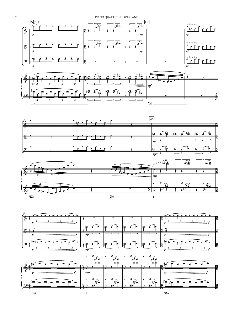





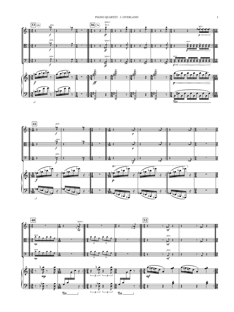PIANO QUARTET - I. OVERLAND 3





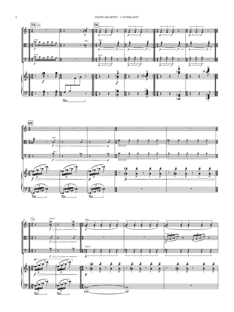



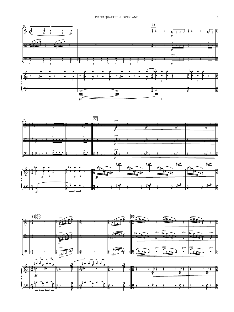



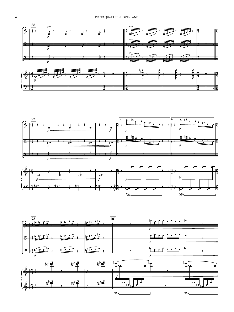



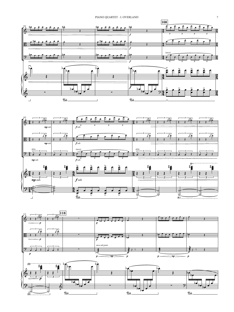



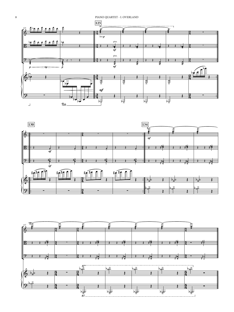



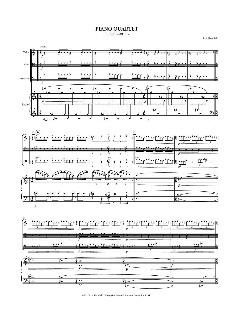**PIANO QUARTET** II. PETERSBURG

 $\bigcap_{n=1}^{\infty}$  $\frac{1}{2}$  $\frac{1}{2}$  $\frac{4}{l}$ ™ ™ ™ ™ ™ ™ ™ ™  $\frac{4}{4}$  $\frac{4}{4}$  $\frac{1}{4}$  $\frac{1}{4}$ ™ ™ ™ ™ Violin  $\mathbb{R}$ Viola Violoncello  $\bigotimes$ Piano  $f^{\perp}$ q**=132**  $\boldsymbol{f}$  and  $\boldsymbol{f}$  $\boldsymbol{f}$  and  $\boldsymbol{f}$  $p$  for the set of the set of the set of the set of the set of the set of  $f$   $\mid$ ° ø 4 <sup>4</sup> : •  $3<sup>1</sup>$  $8\frac{1}{2}$  $\mathbf{F}$ مَ فَسَبَقَ ﴾ 4 - 1  $\frac{1}{3}$   $\frac{2}{3}$   $\frac{2}{3}$   $\frac{2}{3}$   $\frac{2}{3}$   $\frac{2}{3}$   $\frac{2}{3}$   $\frac{2}{3}$   $\frac{2}{3}$   $\frac{2}{3}$   $\frac{2}{3}$   $\frac{2}{3}$   $\frac{2}{3}$   $\frac{2}{3}$   $\frac{2}{3}$   $\frac{2}{3}$   $\frac{2}{3}$   $\frac{2}{3}$   $\frac{2}{3}$   $\frac{2}{3}$   $\frac{2}{3}$   $\frac{2}{3}$  8 <u>- 11</u>  $\mathbf{F}$  $4$  $\frac{4}{4}$ 3 <del>- 11</del> 8  $\mathbf{F}$ 4  $\overline{1}$ 4  $\frac{1}{2}$  $\frac{3}{8}$   $\frac{1}{4}$  $\overline{4}$  $\frac{4}{4}$ 4  $\frac{4}{4}$   $\frac{1}{4}$  $\frac{1}{2}$  $\frac{3}{8}$  $\overline{4}$  $\frac{4}{4}$  $\bigcirc$   $\frac{4}{3}$   $\frac{4}{5}$   $\frac{4}{5}$   $\frac{4}{5}$ -> > -> >  $\frac{1}{2}$   $\frac{1}{2}$   $\frac{1}{2}$   $\frac{1}{2}$   $\frac{1}{2}$   $\frac{1}{2}$   $\frac{1}{2}$   $\frac{1}{2}$   $\frac{1}{2}$   $\frac{1}{2}$   $\frac{1}{2}$   $\frac{1}{2}$   $\frac{1}{2}$   $\frac{1}{2}$   $\frac{1}{2}$   $\frac{1}{2}$   $\frac{1}{2}$   $\frac{1}{2}$   $\frac{1}{2}$   $\frac{1}{2}$   $\frac{1}{2}$   $\frac{1}{2}$  **B**  $\frac{1}{2}$  ,  $\frac{1}{2}$  ,  $\frac{1}{2}$  ,  $\frac{1}{2}$  ,  $\frac{1}{2}$  ,  $\frac{1}{2}$  ,  $\frac{1}{2}$  ,  $\frac{1}{2}$  ,  $\frac{1}{2}$  ,  $\frac{1}{2}$  ,  $\frac{1}{2}$  ,  $\frac{1}{2}$  $\gamma$  4  $\sim$  $\frac{1}{2}$  ,  $\frac{1}{2}$  ,  $\frac{1}{2}$  ,  $\frac{1}{2}$  ,  $\frac{1}{2}$  ,  $\frac{1}{2}$  ,  $\frac{1}{2}$  ,  $\frac{1}{2}$  ,  $\frac{1}{2}$  $\frac{1}{2}$  ,  $\frac{1}{2}$  ,  $\frac{1}{2}$  ,  $\frac{1}{2}$  ,  $\frac{1}{2}$  ,  $\frac{1}{2}$  ,  $\frac{1}{2}$  ,  $\frac{1}{2}$  $\frac{4}{4}$  $\overline{P}$ #œ  $\epsilon$   $\epsilon$  $\overline{\mathbf{e}}$  $\epsilon$   $\epsilon$  $\overline{\mathbf{e}}$ œ <u>e 'E‡e</u> **⊭e** ∉ #œ  $\epsilon$   $\epsilon$  $\overline{\mathbf{e}}$  $\sum_{i=1}^n$  $\overline{\phantom{a}}$ èn 1è  $\begin{array}{c|c|c|c|c} \hline \text{array} & \text{if} & \text{if} & \text{if} \\ \hline \text{array} & \text{if} & \text{if} & \text{if} \\ \hline \text{array} & \text{if} & \text{if} & \text{if} \\ \hline \end{array}$  $\frac{1}{1}$ <del>。</del> #œ  $\overline{\bullet}$  and  $\overline{\bullet}$  and  $\overline{\bullet}$ >#œ —™<br>———————<del>—</del> #œ <u>enti s</u>  $\sum$  $\overline{\phantom{a}}$ #œ  $\vec{r}$  $\circ$   $\frac{4}{4}$   $\circ$   $\circ$  $\overline{2:4}$ #œ ⊭⊅ ਵ  $\overline{\phantom{a}}$  $\frac{1}{\sqrt{2}}$  $\overline{\phantom{a}}$  $\frac{1}{\sqrt{2}}$  $\overline{\phantom{a}}$ œ #œ #œ  $\overline{\phantom{a}}$  $\frac{1}{\sqrt{2}}$  $\sim$   $\frac{3}{8}$ <del></del> ∍  $\bullet$   $\frac{3}{8}$  $\overrightarrow{a}$ #œ  $\overline{\phantom{a}}$ #œ  $\overline{\phantom{a}}$ #œ  $\frac{1}{4}$  $\frac{1}{2}$  exactly exactly and  $\frac{1}{2}$  exactly exactly exactly exactly exactly exactly exactly  $\frac{1}{2}$  $\frac{2}{7}$  and  $\frac{2}{7}$  and  $\frac{2}{7}$  and  $\frac{2}{7}$  and  $\frac{2}{7}$  and  $\frac{2}{7}$  and  $\frac{2}{7}$  and  $\frac{2}{7}$  and  $\frac{2}{7}$ ≥<br>₹ ≠≠≠≠≠ ≠≠≠≠|≠ ≥≠≠≠≠≠ ≠≠≠≠| ≥ ;  $\frac{1}{\sqrt{2}}$   $\frac{1}{\sqrt{2}}$   $\frac{1}{\sqrt{2}}$   $\frac{1}{\sqrt{2}}$   $\frac{1}{\sqrt{2}}$   $\frac{1}{\sqrt{2}}$   $\frac{1}{\sqrt{2}}$   $\frac{1}{\sqrt{2}}$   $\frac{1}{\sqrt{2}}$   $\frac{1}{\sqrt{2}}$   $\frac{1}{\sqrt{2}}$   $\frac{1}{\sqrt{2}}$   $\frac{1}{\sqrt{2}}$   $\frac{1}{\sqrt{2}}$   $\frac{1}{\sqrt{2}}$   $\frac{1}{\sqrt{2}}$   $\frac{1}{\sqrt{2}}$ 





©2017 Eric Shanfield (Enterprise Research Institute Council, ASCAP)

#### Eric Shanfield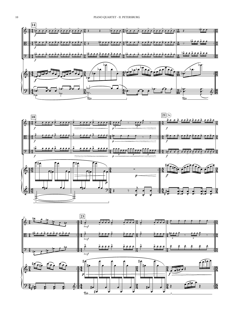



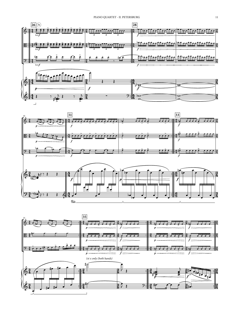



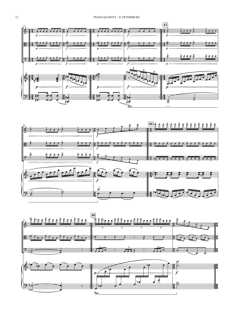



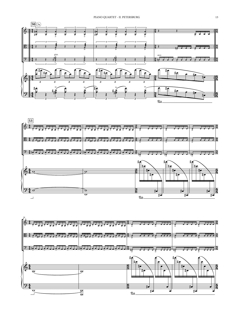



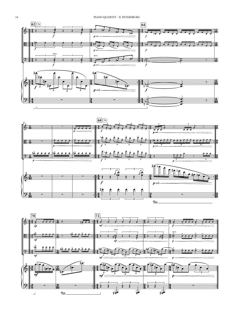



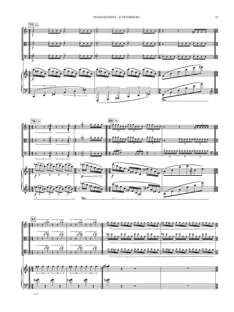



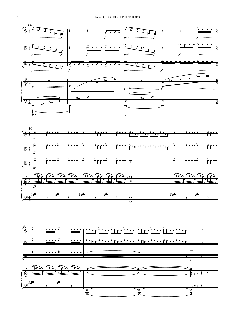



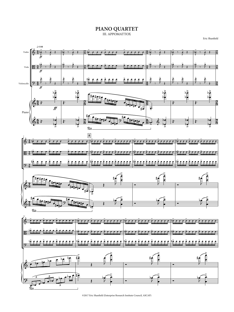PIANO QUARTET III. APPOMATTOX

Eric Shanfield



 $@2017$  Eric Shanfield (Enterprise Research Institute Council,  $ASCAP)$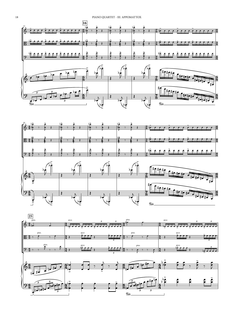#### PIANO QUARTET - III. APPOMATTOX





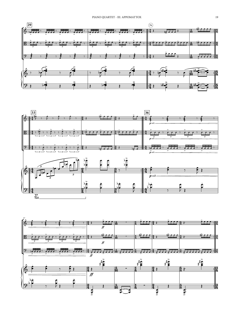



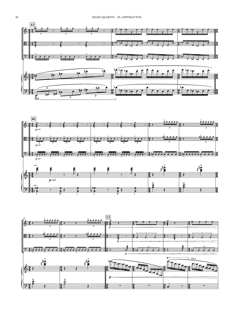



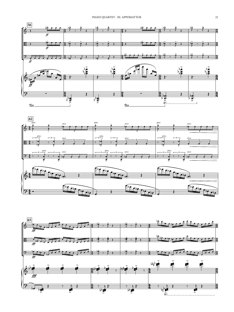



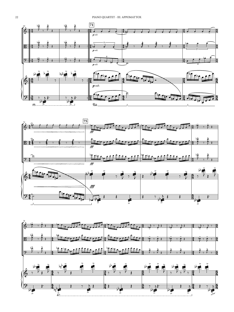



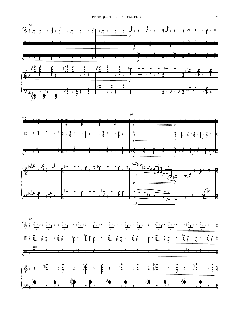



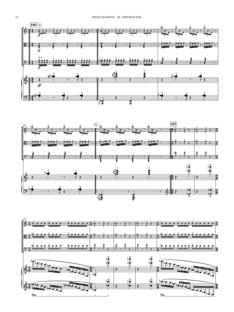